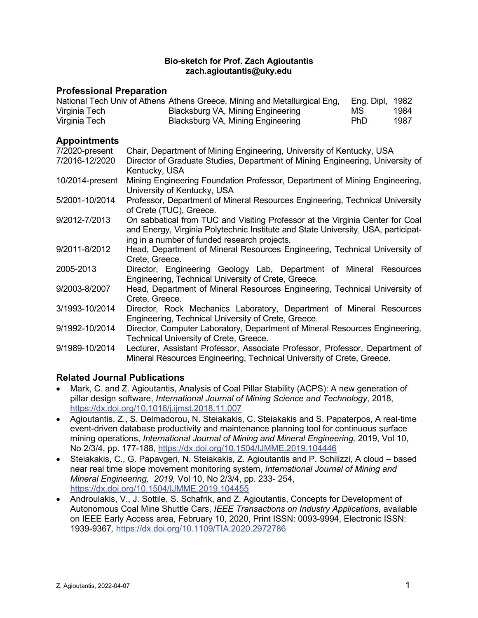#### **Bio-sketch for Prof. Zach Agioutantis zach.agioutantis@uky.edu**

#### **Professional Preparation**

|               | National Tech Univ of Athens Athens Greece, Mining and Metallurgical Eng, | Eng. Dipl, 1982 |      |
|---------------|---------------------------------------------------------------------------|-----------------|------|
| Virginia Tech | Blacksburg VA, Mining Engineering                                         | МS              | 1984 |
| Virginia Tech | Blacksburg VA, Mining Engineering                                         | PhD.            | 1987 |

### **Appointments**

| Chair, Department of Mining Engineering, University of Kentucky, USA                                                                                                                                               |
|--------------------------------------------------------------------------------------------------------------------------------------------------------------------------------------------------------------------|
| Director of Graduate Studies, Department of Mining Engineering, University of<br>Kentucky, USA                                                                                                                     |
| Mining Engineering Foundation Professor, Department of Mining Engineering,<br>University of Kentucky, USA                                                                                                          |
| Professor, Department of Mineral Resources Engineering, Technical University<br>of Crete (TUC), Greece.                                                                                                            |
| On sabbatical from TUC and Visiting Professor at the Virginia Center for Coal<br>and Energy, Virginia Polytechnic Institute and State University, USA, participat-<br>ing in a number of funded research projects. |
| Head, Department of Mineral Resources Engineering, Technical University of<br>Crete, Greece.                                                                                                                       |
| Director, Engineering Geology Lab, Department of Mineral Resources<br>Engineering, Technical University of Crete, Greece.                                                                                          |
| Head, Department of Mineral Resources Engineering, Technical University of<br>Crete, Greece.                                                                                                                       |
| Director, Rock Mechanics Laboratory, Department of Mineral Resources<br>Engineering, Technical University of Crete, Greece.                                                                                        |
| Director, Computer Laboratory, Department of Mineral Resources Engineering,<br>Technical University of Crete, Greece.                                                                                              |
| Lecturer, Assistant Professor, Associate Professor, Professor, Department of<br>Mineral Resources Engineering, Technical University of Crete, Greece.                                                              |
|                                                                                                                                                                                                                    |

## **Related Journal Publications**

- Mark, C. and Z. Agioutantis, Analysis of Coal Pillar Stability (ACPS): A new generation of pillar design software, *International Journal of Mining Science and Technology*, 2018, <https://dx.doi.org/10.1016/j.ijmst.2018.11.007>
- Agioutantis, Z., S. Delmadorou, N. Steiakakis, C. Steiakakis and S. Papaterpos, A real-time event-driven database productivity and maintenance planning tool for continuous surface mining operations, *International Journal of Mining and Mineral Engineering,* 2019, Vol 10, No 2/3/4, pp. 177-188*,* <https://dx.doi.org/10.1504/IJMME.2019.104446>
- Steiakakis, C., G. Papavgeri, N. Steiakakis, Z. Agioutantis and P. Schilizzi, A cloud based near real time slope movement monitoring system, *International Journal of Mining and Mineral Engineering, 2019,* Vol 10, No 2/3/4, pp. 233- 254, <https://dx.doi.org/10.1504/IJMME.2019.104455>
- Androulakis, V., J. Sottile, S. Schafrik, and Z. Agioutantis, Concepts for Development of Autonomous Coal Mine Shuttle Cars, *IEEE Transactions on Industry Applications*, available on IEEE Early Access area, February 10, 2020, Print ISSN: 0093-9994, Electronic ISSN: 1939-9367*,* <https://dx.doi.org/10.1109/TIA.2020.2972786>